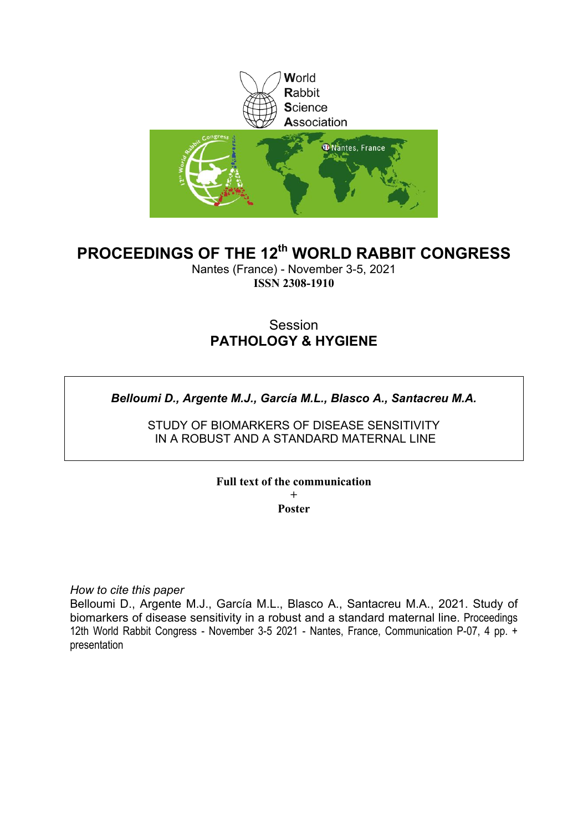

# **PROCEEDINGS OF THE 12th WORLD RABBIT CONGRESS**

Nantes (France) - November 3-5, 2021 **ISSN 2308-1910**

# Session **PATHOLOGY & HYGIENE**

*Belloumi D., Argente M.J., García M.L., Blasco A., Santacreu M.A.*

STUDY OF BIOMARKERS OF DISEASE SENSITIVITY IN A ROBUST AND A STANDARD MATERNAL LINE

**Full text of the communication** 

**+ Poster**

*How to cite this paper*

Belloumi D., Argente M.J., García M.L., Blasco A., Santacreu M.A., 2021. Study of biomarkers of disease sensitivity in a robust and a standard maternal line. Proceedings 12th World Rabbit Congress - November 3-5 2021 - Nantes, France, Communication P-07, 4 pp. + presentation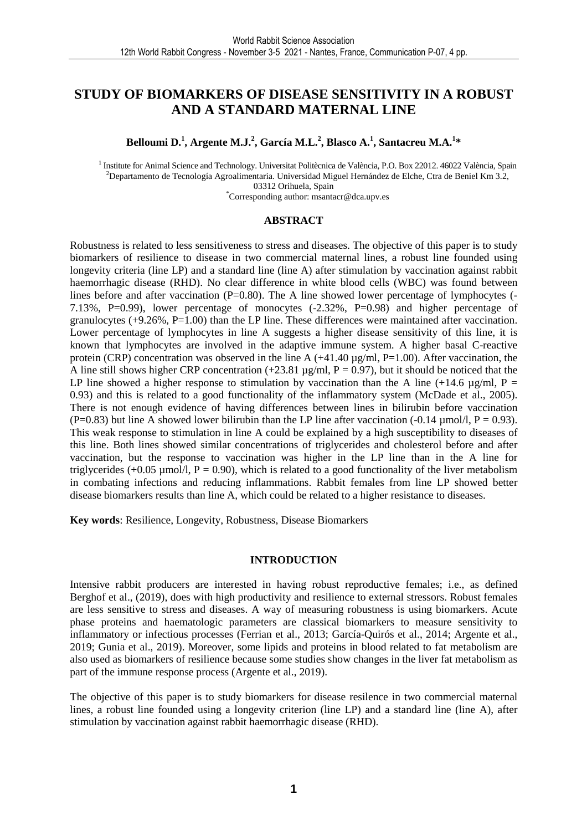## **STUDY OF BIOMARKERS OF DISEASE SENSITIVITY IN A ROBUST AND A STANDARD MATERNAL LINE**

**Belloumi D.<sup>1</sup> , Argente M.J.<sup>2</sup> , García M.L.<sup>2</sup> , Blasco A.<sup>1</sup> , Santacreu M.A.<sup>1</sup> \*** 

<sup>1</sup> Institute for Animal Science and Technology. Universitat Politècnica de València, P.O. Box 22012. 46022 València, Spain <sup>2</sup>Departamento de Tecnología Agroalimentaria. Universidad Miguel Hernández de Elche, Ctra de Beniel Km 3.2, 03312 Orihuela, Spain

\*Corresponding author: msantacr@dca.upv.es

#### **ABSTRACT**

Robustness is related to less sensitiveness to stress and diseases. The objective of this paper is to study biomarkers of resilience to disease in two commercial maternal lines, a robust line founded using longevity criteria (line LP) and a standard line (line A) after stimulation by vaccination against rabbit haemorrhagic disease (RHD). No clear difference in white blood cells (WBC) was found between lines before and after vaccination (P=0.80). The A line showed lower percentage of lymphocytes (-7.13%, P=0.99), lower percentage of monocytes (-2.32%, P=0.98) and higher percentage of granulocytes  $(+9.26\%, P=1.00)$  than the LP line. These differences were maintained after vaccination. Lower percentage of lymphocytes in line A suggests a higher disease sensitivity of this line, it is known that lymphocytes are involved in the adaptive immune system. A higher basal C-reactive protein (CRP) concentration was observed in the line A  $(+41.40 \,\mu\text{g/ml},\text{P=1.00})$ . After vaccination, the A line still shows higher CRP concentration (+23.81  $\mu$ g/ml, P = 0.97), but it should be noticed that the LP line showed a higher response to stimulation by vaccination than the A line (+14.6  $\mu$ g/ml, P = 0.93) and this is related to a good functionality of the inflammatory system (McDade et al., 2005). There is not enough evidence of having differences between lines in bilirubin before vaccination (P=0.83) but line A showed lower bilirubin than the LP line after vaccination (-0.14  $\mu$ mol/l, P = 0.93). This weak response to stimulation in line A could be explained by a high susceptibility to diseases of this line. Both lines showed similar concentrations of triglycerides and cholesterol before and after vaccination, but the response to vaccination was higher in the LP line than in the A line for triglycerides (+0.05 µmol/l,  $P = 0.90$ ), which is related to a good functionality of the liver metabolism in combating infections and reducing inflammations. Rabbit females from line LP showed better disease biomarkers results than line A, which could be related to a higher resistance to diseases.

**Key words**: Resilience, Longevity, Robustness, Disease Biomarkers

#### **INTRODUCTION**

Intensive rabbit producers are interested in having robust reproductive females; i.e., as defined Berghof et al., (2019), does with high productivity and resilience to external stressors. Robust females are less sensitive to stress and diseases. A way of measuring robustness is using biomarkers. Acute phase proteins and haematologic parameters are classical biomarkers to measure sensitivity to inflammatory or infectious processes (Ferrian et al., 2013; García-Quirós et al., 2014; Argente et al., 2019; Gunia et al., 2019). Moreover, some lipids and proteins in blood related to fat metabolism are also used as biomarkers of resilience because some studies show changes in the liver fat metabolism as part of the immune response process (Argente et al., 2019).

The objective of this paper is to study biomarkers for disease resilence in two commercial maternal lines, a robust line founded using a longevity criterion (line LP) and a standard line (line A), after stimulation by vaccination against rabbit haemorrhagic disease (RHD).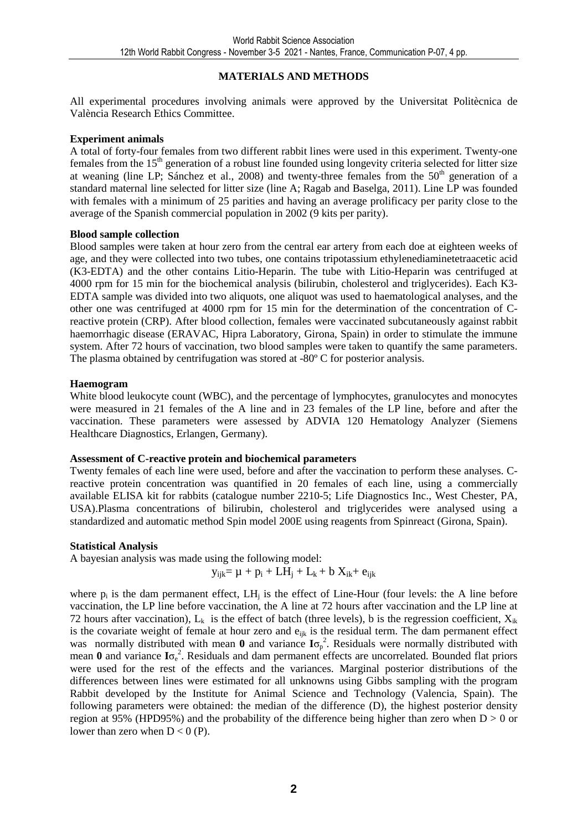## **MATERIALS AND METHODS**

All experimental procedures involving animals were approved by the Universitat Politècnica de València Research Ethics Committee.

### **Experiment animals**

A total of forty-four females from two different rabbit lines were used in this experiment. Twenty-one females from the 15<sup>th</sup> generation of a robust line founded using longevity criteria selected for litter size at weaning (line LP; Sánchez et al., 2008) and twenty-three females from the  $50<sup>th</sup>$  generation of a standard maternal line selected for litter size (line A; Ragab and Baselga, 2011). Line LP was founded with females with a minimum of 25 parities and having an average prolificacy per parity close to the average of the Spanish commercial population in 2002 (9 kits per parity).

### **Blood sample collection**

Blood samples were taken at hour zero from the central ear artery from each doe at eighteen weeks of age, and they were collected into two tubes, one contains tripotassium ethylenediaminetetraacetic acid (K3-EDTA) and the other contains Litio-Heparin. The tube with Litio-Heparin was centrifuged at 4000 rpm for 15 min for the biochemical analysis (bilirubin, cholesterol and triglycerides). Each K3- EDTA sample was divided into two aliquots, one aliquot was used to haematological analyses, and the other one was centrifuged at 4000 rpm for 15 min for the determination of the concentration of Creactive protein (CRP). After blood collection, females were vaccinated subcutaneously against rabbit haemorrhagic disease (ERAVAC, Hipra Laboratory, Girona, Spain) in order to stimulate the immune system. After 72 hours of vaccination, two blood samples were taken to quantify the same parameters. The plasma obtained by centrifugation was stored at -80º C for posterior analysis.

### **Haemogram**

White blood leukocyte count (WBC), and the percentage of lymphocytes, granulocytes and monocytes were measured in 21 females of the A line and in 23 females of the LP line, before and after the vaccination. These parameters were assessed by ADVIA 120 Hematology Analyzer (Siemens Healthcare Diagnostics, Erlangen, Germany).

## **Assessment of C-reactive protein and biochemical parameters**

Twenty females of each line were used, before and after the vaccination to perform these analyses. Creactive protein concentration was quantified in 20 females of each line, using a commercially available ELISA kit for rabbits (catalogue number 2210-5; Life Diagnostics Inc., West Chester, PA, USA).Plasma concentrations of bilirubin, cholesterol and triglycerides were analysed using a standardized and automatic method Spin model 200E using reagents from Spinreact (Girona, Spain).

## **Statistical Analysis**

A bayesian analysis was made using the following model:

$$
y_{ijk} {=} \, \mu \, + \, p_i + L H_j + L_k + b \; X_{ik} {+} \; e_{ijk}
$$

where  $p_i$  is the dam permanent effect,  $LH_j$  is the effect of Line-Hour (four levels: the A line before vaccination, the LP line before vaccination, the A line at 72 hours after vaccination and the LP line at 72 hours after vaccination),  $L_k$  is the effect of batch (three levels), b is the regression coefficient,  $X_{ik}$ is the covariate weight of female at hour zero and  $e_{ijk}$  is the residual term. The dam permanent effect was normally distributed with mean  $\mathbf{0}$  and variance  $I\sigma_p^2$ . Residuals were normally distributed with mean **0** and variance **I**σ<sub>ε</sub><sup>2</sup>. Residuals and dam permanent effects are uncorrelated. Bounded flat priors were used for the rest of the effects and the variances. Marginal posterior distributions of the differences between lines were estimated for all unknowns using Gibbs sampling with the program Rabbit developed by the Institute for Animal Science and Technology (Valencia, Spain). The following parameters were obtained: the median of the difference (D), the highest posterior density region at 95% (HPD95%) and the probability of the difference being higher than zero when  $D > 0$  or lower than zero when  $D < 0$  (P).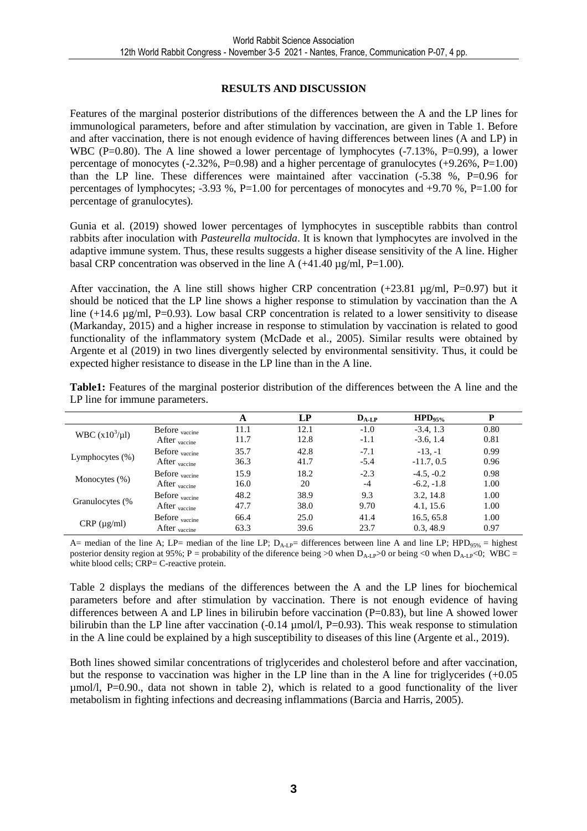## **RESULTS AND DISCUSSION**

Features of the marginal posterior distributions of the differences between the A and the LP lines for immunological parameters, before and after stimulation by vaccination, are given in Table 1. Before and after vaccination, there is not enough evidence of having differences between lines (A and LP) in WBC (P=0.80). The A line showed a lower percentage of lymphocytes  $(-7.13\%$ , P=0.99), a lower percentage of monocytes  $(-2.32\%, P=0.98)$  and a higher percentage of granulocytes  $(+9.26\%, P=1.00)$ than the LP line. These differences were maintained after vaccination (-5.38 %, P=0.96 for percentages of lymphocytes; -3.93 %, P=1.00 for percentages of monocytes and +9.70 %, P=1.00 for percentage of granulocytes).

Gunia et al. (2019) showed lower percentages of lymphocytes in susceptible rabbits than control rabbits after inoculation with *Pasteurella multocida*. It is known that lymphocytes are involved in the adaptive immune system. Thus, these results suggests a higher disease sensitivity of the A line. Higher basal CRP concentration was observed in the line A  $(+41.40 \,\mu g/ml, P=1.00)$ .

After vaccination, the A line still shows higher CRP concentration  $(+23.81 \mu g/ml, P=0.97)$  but it should be noticed that the LP line shows a higher response to stimulation by vaccination than the A line  $(+14.6 \mu g/ml, P=0.93)$ . Low basal CRP concentration is related to a lower sensitivity to disease (Markanday, 2015) and a higher increase in response to stimulation by vaccination is related to good functionality of the inflammatory system (McDade et al., 2005). Similar results were obtained by Argente et al (2019) in two lines divergently selected by environmental sensitivity. Thus, it could be expected higher resistance to disease in the LP line than in the A line.

**Table1:** Features of the marginal posterior distribution of the differences between the A line and the LP line for immune parameters.

|                     |                           | A    | LP   | $D_{A-LP}$ | $HPD_{95\%}$ | P    |  |
|---------------------|---------------------------|------|------|------------|--------------|------|--|
| WBC $(x10^3/\mu l)$ | Before <sub>vaccine</sub> | 11.1 | 12.1 | $-1.0$     | $-3.4, 1.3$  | 0.80 |  |
|                     | After <sub>vaccine</sub>  | 11.7 | 12.8 | $-1.1$     | $-3.6, 1.4$  | 0.81 |  |
|                     | Before <sub>vaccine</sub> | 35.7 | 42.8 | $-7.1$     | $-13. -1$    | 0.99 |  |
| Lymphocytes $(\%)$  | After <sub>vaccine</sub>  | 36.3 | 41.7 | $-5.4$     | $-11.7, 0.5$ | 0.96 |  |
|                     | Before <sub>vaccine</sub> | 15.9 | 18.2 | $-2.3$     | $-4.5, -0.2$ | 0.98 |  |
| Monocytes $(\% )$   | After <sub>vaccine</sub>  | 16.0 | 20   | $-4$       | $-6.2, -1.8$ | 1.00 |  |
|                     | Before <sub>vaccine</sub> | 48.2 | 38.9 | 9.3        | 3.2, 14.8    | 1.00 |  |
| Granulocytes (%     | After <sub>vaccine</sub>  | 47.7 | 38.0 | 9.70       | 4.1, 15.6    | 1.00 |  |
|                     | Before <sub>vaccine</sub> | 66.4 | 25.0 | 41.4       | 16.5, 65.8   | 1.00 |  |
| $CRP (\mu g/ml)$    | After <sub>vaccine</sub>  | 63.3 | 39.6 | 23.7       | 0.3, 48.9    | 0.97 |  |

A= median of the line A; LP= median of the line LP;  $D_{A-I,P}$ = differences between line A and line LP; HPD<sub>95%</sub> = highest posterior density region at 95%; P = probability of the diference being >0 when  $D_{A-I}$ p>0 or being <0 when  $D_{A-I}$ p<0; WBC = white blood cells; CRP= C-reactive protein.

Table 2 displays the medians of the differences between the A and the LP lines for biochemical parameters before and after stimulation by vaccination. There is not enough evidence of having differences between A and LP lines in bilirubin before vaccination (P=0.83), but line A showed lower bilirubin than the LP line after vaccination (-0.14  $\mu$ mol/l, P=0.93). This weak response to stimulation in the A line could be explained by a high susceptibility to diseases of this line (Argente et al., 2019).

Both lines showed similar concentrations of triglycerides and cholesterol before and after vaccination, but the response to vaccination was higher in the LP line than in the A line for triglycerides (+0.05  $\mu$ mol/l, P=0.90., data not shown in table 2), which is related to a good functionality of the liver metabolism in fighting infections and decreasing inflammations (Barcia and Harris, 2005).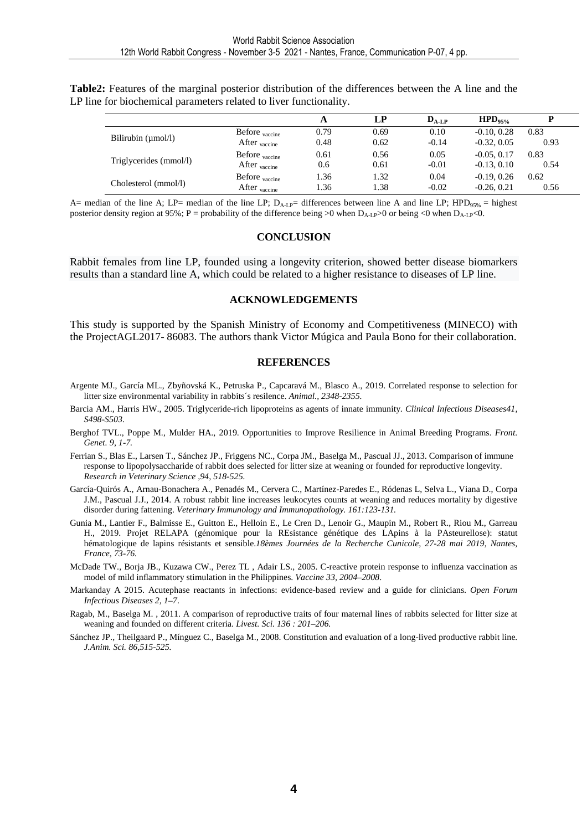**Table2:** Features of the marginal posterior distribution of the differences between the A line and the LP line for biochemical parameters related to liver functionality.

|                         |                           | A    | LР   | $D_{A-LP}$ | $HPD_{95\%}$  |      |
|-------------------------|---------------------------|------|------|------------|---------------|------|
|                         | Before <sub>vaccine</sub> | 0.79 | 0.69 | 0.10       | $-0.10, 0.28$ | 0.83 |
| Bilirubin $(\mu$ mol/l) | After $_{\text{vacine}}$  | 0.48 | 0.62 | $-0.14$    | $-0.32, 0.05$ | 0.93 |
|                         | Before <sub>vaccine</sub> | 0.61 | 0.56 | 0.05       | $-0.05, 0.17$ | 0.83 |
| Triglycerides (mmol/l)  | After <sub>vaccine</sub>  | 0.6  | 0.61 | $-0.01$    | $-0.13, 0.10$ | 0.54 |
|                         | Before <sub>vaccine</sub> | 1.36 | 1.32 | 0.04       | $-0.19, 0.26$ | 0.62 |
| Cholesterol (mmol/l)    | After <sub>vaccine</sub>  | 1.36 | 1.38 | $-0.02$    | $-0.26, 0.21$ | 0.56 |

A= median of the line A; LP= median of the line LP;  $D_{A-L}$ = differences between line A and line LP; HPD<sub>95%</sub> = highest posterior density region at 95%; P = probability of the difference being >0 when  $D_{A-1,P}$ >0 or being <0 when  $D_{A-1,P}$ <0.

#### **CONCLUSION**

Rabbit females from line LP, founded using a longevity criterion, showed better disease biomarkers results than a standard line A, which could be related to a higher resistance to diseases of LP line.

#### **ACKNOWLEDGEMENTS**

This study is supported by the Spanish Ministry of Economy and Competitiveness (MINECO) with the ProjectAGL2017- 86083. The authors thank Victor Múgica and Paula Bono for their collaboration.

#### **REFERENCES**

- Argente MJ., García ML., Zbyñovská K., Petruska P., Capcaravá M., Blasco A., 2019. Correlated response to selection for litter size environmental variability in rabbits´s resilence. *Animal., 2348-2355.*
- Barcia AM., Harris HW., 2005. Triglyceride-rich lipoproteins as agents of innate immunity. *Clinical Infectious Diseases41, S498-S503.*
- Berghof TVL., Poppe M., Mulder HA., 2019. Opportunities to Improve Resilience in Animal Breeding Programs. *Front. Genet. 9, 1-7.*
- Ferrian S., Blas E., Larsen T., Sánchez JP., Friggens NC., Corpa JM., Baselga M., Pascual JJ., 2013. Comparison of immune response to lipopolysaccharide of rabbit does selected for litter size at weaning or founded for reproductive longevity. *Research in Veterinary Science ,94, 518-525.*
- García-Quirós A., Arnau-Bonachera A., Penadés M., Cervera C., Martínez-Paredes E., Ródenas L, Selva L., Viana D., Corpa J.M., Pascual J.J., 2014. A robust rabbit line increases leukocytes counts at weaning and reduces mortality by digestive disorder during fattening. *Veterinary Immunology and Immunopathology. 161:123-131.*
- Gunia M., Lantier F., Balmisse E., Guitton E., Helloin E., Le Cren D., Lenoir G., Maupin M., Robert R., Riou M., Garreau H., 2019. Projet RELAPA (génomique pour la REsistance génétique des LApins à la PAsteurellose): statut hématologique de lapins résistants et sensible.*18èmes Journées de la Recherche Cunicole, 27-28 mai 2019, Nantes, France, 73-76.*
- McDade TW., Borja JB., Kuzawa CW., Perez TL , Adair LS., 2005. C-reactive protein response to influenza vaccination as model of mild inflammatory stimulation in the Philippines. *Vaccine 33, 2004–2008*.
- Markanday A 2015. Acutephase reactants in infections: evidence-based review and a guide for clinicians. *Open Forum Infectious Diseases 2, 1–7*.
- Ragab, M., Baselga M. , 2011. A comparison of reproductive traits of four maternal lines of rabbits selected for litter size at weaning and founded on different criteria. *Livest. Sci. 136 : 201–206.*
- Sánchez JP., Theilgaard P., Mínguez C., Baselga M., 2008. Constitution and evaluation of a long-lived productive rabbit line*. J.Anim. Sci. 86,515-525.*